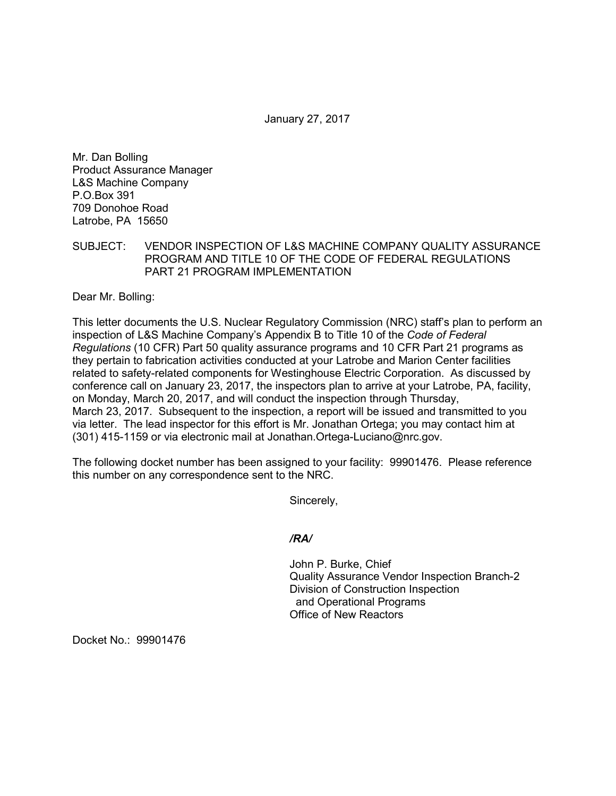January 27, 2017

Mr. Dan Bolling Product Assurance Manager L&S Machine Company P.O.Box 391 709 Donohoe Road Latrobe, PA 15650

SUBJECT: VENDOR INSPECTION OF L&S MACHINE COMPANY QUALITY ASSURANCE PROGRAM AND TITLE 10 OF THE CODE OF FEDERAL REGULATIONS PART 21 PROGRAM IMPLEMENTATION

Dear Mr. Bolling:

This letter documents the U.S. Nuclear Regulatory Commission (NRC) staff's plan to perform an inspection of L&S Machine Company's Appendix B to Title 10 of the *Code of Federal Regulations* (10 CFR) Part 50 quality assurance programs and 10 CFR Part 21 programs as they pertain to fabrication activities conducted at your Latrobe and Marion Center facilities related to safety-related components for Westinghouse Electric Corporation. As discussed by conference call on January 23, 2017, the inspectors plan to arrive at your Latrobe, PA, facility, on Monday, March 20, 2017, and will conduct the inspection through Thursday, March 23, 2017. Subsequent to the inspection, a report will be issued and transmitted to you via letter. The lead inspector for this effort is Mr. Jonathan Ortega; you may contact him at (301) 415-1159 or via electronic mail at Jonathan.Ortega-Luciano@nrc.gov.

The following docket number has been assigned to your facility: 99901476. Please reference this number on any correspondence sent to the NRC.

Sincerely,

*/RA/*

John P. Burke, Chief Quality Assurance Vendor Inspection Branch-2 Division of Construction Inspection and Operational Programs Office of New Reactors

Docket No.: 99901476